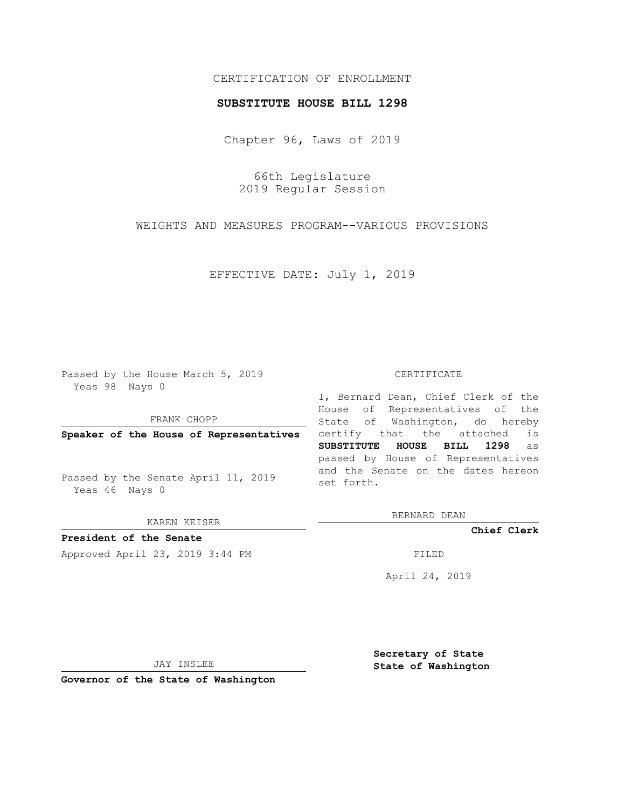# CERTIFICATION OF ENROLLMENT

### **SUBSTITUTE HOUSE BILL 1298**

Chapter 96, Laws of 2019

66th Legislature 2019 Regular Session

WEIGHTS AND MEASURES PROGRAM--VARIOUS PROVISIONS

EFFECTIVE DATE: July 1, 2019

Passed by the House March 5, 2019 Yeas 98 Nays 0

FRANK CHOPP

**Speaker of the House of Representatives**

Passed by the Senate April 11, 2019 Yeas 46 Nays 0

KAREN KEISER

**President of the Senate**

Approved April 23, 2019 3:44 PM FILED

#### CERTIFICATE

I, Bernard Dean, Chief Clerk of the House of Representatives of the State of Washington, do hereby certify that the attached is **SUBSTITUTE HOUSE BILL 1298** as passed by House of Representatives and the Senate on the dates hereon set forth.

BERNARD DEAN

**Chief Clerk**

April 24, 2019

JAY INSLEE

**Governor of the State of Washington**

**Secretary of State State of Washington**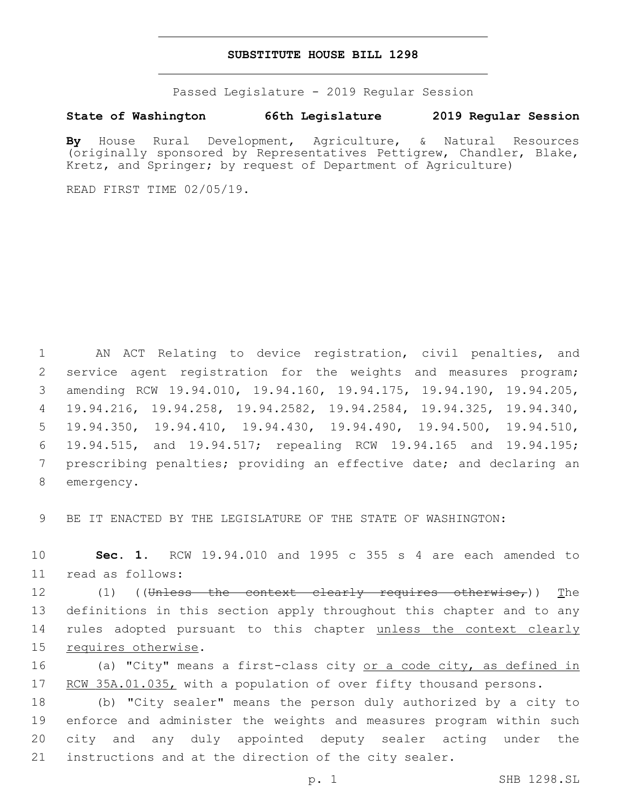### **SUBSTITUTE HOUSE BILL 1298**

Passed Legislature - 2019 Regular Session

## **State of Washington 66th Legislature 2019 Regular Session**

**By** House Rural Development, Agriculture, & Natural Resources (originally sponsored by Representatives Pettigrew, Chandler, Blake, Kretz, and Springer; by request of Department of Agriculture)

READ FIRST TIME 02/05/19.

 AN ACT Relating to device registration, civil penalties, and service agent registration for the weights and measures program; amending RCW 19.94.010, 19.94.160, 19.94.175, 19.94.190, 19.94.205, 19.94.216, 19.94.258, 19.94.2582, 19.94.2584, 19.94.325, 19.94.340, 19.94.350, 19.94.410, 19.94.430, 19.94.490, 19.94.500, 19.94.510, 19.94.515, and 19.94.517; repealing RCW 19.94.165 and 19.94.195; prescribing penalties; providing an effective date; and declaring an 8 emergency.

9 BE IT ENACTED BY THE LEGISLATURE OF THE STATE OF WASHINGTON:

10 **Sec. 1.** RCW 19.94.010 and 1995 c 355 s 4 are each amended to 11 read as follows:

12 (1) ((Unless the context clearly requires otherwise,)) The 13 definitions in this section apply throughout this chapter and to any 14 rules adopted pursuant to this chapter unless the context clearly 15 requires otherwise.

16 (a) "City" means a first-class city or a code city, as defined in 17 RCW 35A.01.035, with a population of over fifty thousand persons.

 (b) "City sealer" means the person duly authorized by a city to enforce and administer the weights and measures program within such city and any duly appointed deputy sealer acting under the instructions and at the direction of the city sealer.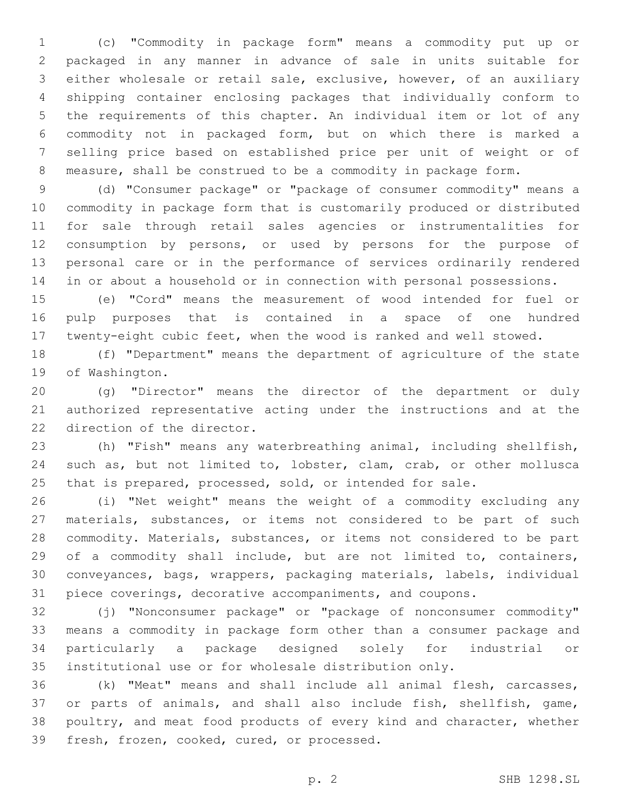(c) "Commodity in package form" means a commodity put up or packaged in any manner in advance of sale in units suitable for either wholesale or retail sale, exclusive, however, of an auxiliary shipping container enclosing packages that individually conform to the requirements of this chapter. An individual item or lot of any commodity not in packaged form, but on which there is marked a selling price based on established price per unit of weight or of measure, shall be construed to be a commodity in package form.

 (d) "Consumer package" or "package of consumer commodity" means a commodity in package form that is customarily produced or distributed for sale through retail sales agencies or instrumentalities for consumption by persons, or used by persons for the purpose of personal care or in the performance of services ordinarily rendered in or about a household or in connection with personal possessions.

 (e) "Cord" means the measurement of wood intended for fuel or pulp purposes that is contained in a space of one hundred twenty-eight cubic feet, when the wood is ranked and well stowed.

 (f) "Department" means the department of agriculture of the state 19 of Washington.

 (g) "Director" means the director of the department or duly authorized representative acting under the instructions and at the 22 direction of the director.

 (h) "Fish" means any waterbreathing animal, including shellfish, such as, but not limited to, lobster, clam, crab, or other mollusca that is prepared, processed, sold, or intended for sale.

 (i) "Net weight" means the weight of a commodity excluding any materials, substances, or items not considered to be part of such commodity. Materials, substances, or items not considered to be part 29 of a commodity shall include, but are not limited to, containers, conveyances, bags, wrappers, packaging materials, labels, individual piece coverings, decorative accompaniments, and coupons.

 (j) "Nonconsumer package" or "package of nonconsumer commodity" means a commodity in package form other than a consumer package and particularly a package designed solely for industrial or institutional use or for wholesale distribution only.

 (k) "Meat" means and shall include all animal flesh, carcasses, or parts of animals, and shall also include fish, shellfish, game, poultry, and meat food products of every kind and character, whether 39 fresh, frozen, cooked, cured, or processed.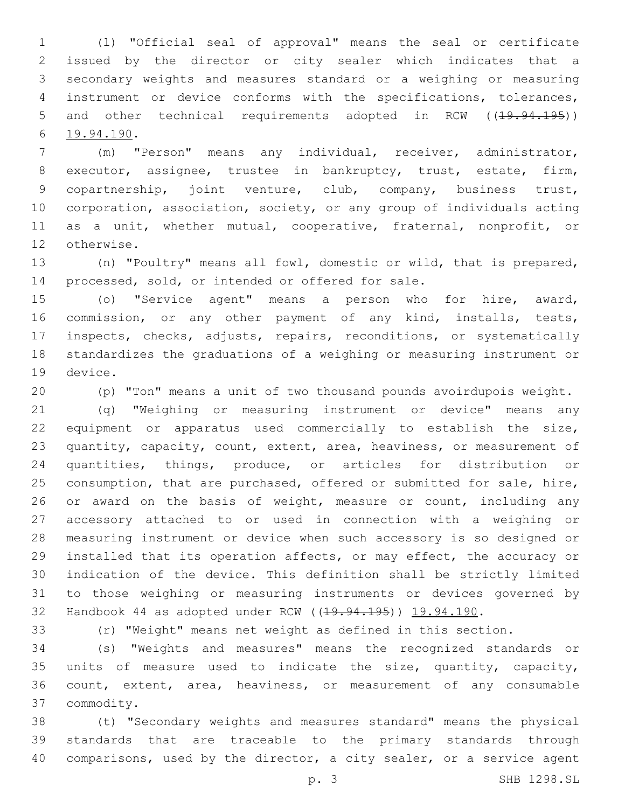(l) "Official seal of approval" means the seal or certificate issued by the director or city sealer which indicates that a secondary weights and measures standard or a weighing or measuring instrument or device conforms with the specifications, tolerances, 5 and other technical requirements adopted in RCW ((<del>19.94.195</del>)) 19.94.190.6

 (m) "Person" means any individual, receiver, administrator, executor, assignee, trustee in bankruptcy, trust, estate, firm, copartnership, joint venture, club, company, business trust, corporation, association, society, or any group of individuals acting as a unit, whether mutual, cooperative, fraternal, nonprofit, or 12 otherwise.

 (n) "Poultry" means all fowl, domestic or wild, that is prepared, 14 processed, sold, or intended or offered for sale.

 (o) "Service agent" means a person who for hire, award, commission, or any other payment of any kind, installs, tests, inspects, checks, adjusts, repairs, reconditions, or systematically standardizes the graduations of a weighing or measuring instrument or 19 device.

(p) "Ton" means a unit of two thousand pounds avoirdupois weight.

 (q) "Weighing or measuring instrument or device" means any equipment or apparatus used commercially to establish the size, quantity, capacity, count, extent, area, heaviness, or measurement of quantities, things, produce, or articles for distribution or consumption, that are purchased, offered or submitted for sale, hire, 26 or award on the basis of weight, measure or count, including any accessory attached to or used in connection with a weighing or measuring instrument or device when such accessory is so designed or installed that its operation affects, or may effect, the accuracy or indication of the device. This definition shall be strictly limited to those weighing or measuring instruments or devices governed by 32 Handbook 44 as adopted under RCW ((19.94.195)) 19.94.190.

(r) "Weight" means net weight as defined in this section.

 (s) "Weights and measures" means the recognized standards or units of measure used to indicate the size, quantity, capacity, count, extent, area, heaviness, or measurement of any consumable commodity.37

 (t) "Secondary weights and measures standard" means the physical standards that are traceable to the primary standards through comparisons, used by the director, a city sealer, or a service agent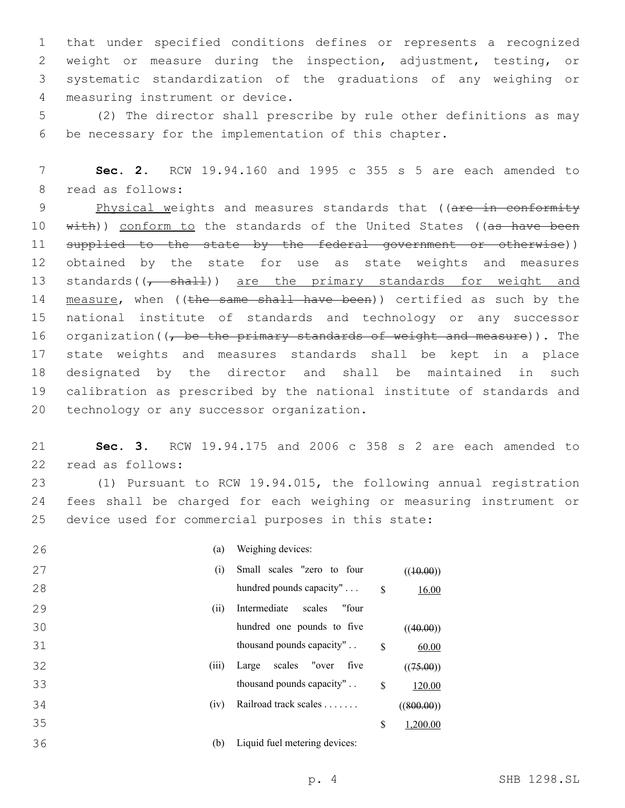that under specified conditions defines or represents a recognized weight or measure during the inspection, adjustment, testing, or systematic standardization of the graduations of any weighing or 4 measuring instrument or device.

5 (2) The director shall prescribe by rule other definitions as may 6 be necessary for the implementation of this chapter.

7 **Sec. 2.** RCW 19.94.160 and 1995 c 355 s 5 are each amended to 8 read as follows:

9 Physical weights and measures standards that ((are in conformity 10 with)) conform to the standards of the United States ((as have been 11 supplied to the state by the federal government or otherwise)) 12 obtained by the state for use as state weights and measures 13 standards( $\frac{1}{7}$  shall)) are the primary standards for weight and 14 measure, when ((the same shall have been)) certified as such by the 15 national institute of standards and technology or any successor 16 organization ( $\sqrt{ }$  be the primary standards of weight and measure)). The 17 state weights and measures standards shall be kept in a place 18 designated by the director and shall be maintained in such 19 calibration as prescribed by the national institute of standards and 20 technology or any successor organization.

21 **Sec. 3.** RCW 19.94.175 and 2006 c 358 s 2 are each amended to 22 read as follows:

23 (1) Pursuant to RCW 19.94.015, the following annual registration 24 fees shall be charged for each weighing or measuring instrument or 25 device used for commercial purposes in this state:

| 26<br>(a)   | Weighing devices:                             |
|-------------|-----------------------------------------------|
| 27<br>(i)   | Small scales "zero to four<br>((10.00))       |
| 28          | hundred pounds capacity"<br>\$<br>16.00       |
| 29<br>(ii)  | Intermediate<br>"four<br>scales               |
| 30          | hundred one pounds to five<br>((40.00))       |
| 31          | thousand pounds capacity"<br>\$<br>60.00      |
| 32<br>(iii) | scales<br>"over<br>five<br>Large<br>((75.00)) |
| 33          | thousand pounds capacity"<br>\$<br>120.00     |
| (iv)<br>34  | Railroad track scales<br>((800.00))           |
| 35          | \$<br>1,200.00                                |
| (b)<br>36   | Liquid fuel metering devices:                 |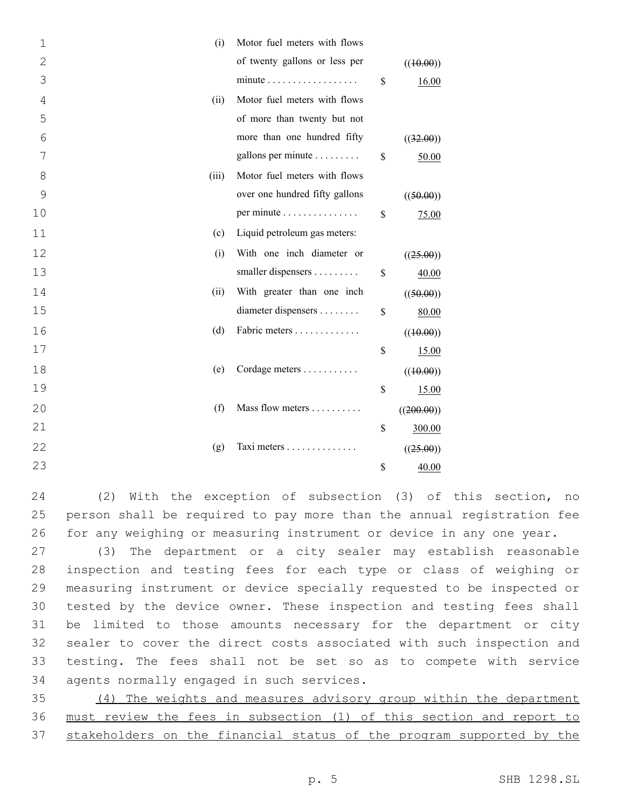| 1              | Motor fuel meters with flows<br>(i)          |                    |
|----------------|----------------------------------------------|--------------------|
| $\overline{2}$ | of twenty gallons or less per                | ((10.00))          |
| 3              | $minute \dots \dots \dots \dots \dots \dots$ | \$<br>16.00        |
| 4              | Motor fuel meters with flows<br>(ii)         |                    |
| 5              | of more than twenty but not                  |                    |
| 6              | more than one hundred fifty                  | ((32.00))          |
| 7              | gallons per minute                           | \$<br>50.00        |
| 8              | Motor fuel meters with flows<br>(iii)        |                    |
| 9              | over one hundred fifty gallons               | ((50.00))          |
| 10             | per minute                                   | \$<br>75.00        |
| 11             | Liquid petroleum gas meters:<br>(c)          |                    |
| 12             | With one inch diameter or<br>(i)             | ((25.00))          |
| 13             | smaller dispensers                           | \$<br>40.00        |
| 14             | With greater than one inch<br>(ii)           | ((50.00))          |
| 15             | diameter dispensers                          | \$<br>80.00        |
| 16             | Fabric meters<br>(d)                         | ((10.00))          |
| 17             |                                              | \$<br><u>15.00</u> |
| 18             | (e)<br>Cordage meters                        | ((10.00))          |
| 19             |                                              | \$<br>15.00        |
| 20             | (f)<br>Mass flow meters                      | ((200.00))         |
| 21             |                                              | \$<br>300.00       |
| 22             | Taxi meters<br>(g)                           | ((25.00))          |
| 23             |                                              | \$<br>40.00        |

24 (2) With the exception of subsection (3) of this section, no 25 person shall be required to pay more than the annual registration fee 26 for any weighing or measuring instrument or device in any one year.

 (3) The department or a city sealer may establish reasonable inspection and testing fees for each type or class of weighing or measuring instrument or device specially requested to be inspected or tested by the device owner. These inspection and testing fees shall be limited to those amounts necessary for the department or city sealer to cover the direct costs associated with such inspection and testing. The fees shall not be set so as to compete with service 34 agents normally engaged in such services.

35 (4) The weights and measures advisory group within the department 36 must review the fees in subsection (1) of this section and report to 37 stakeholders on the financial status of the program supported by the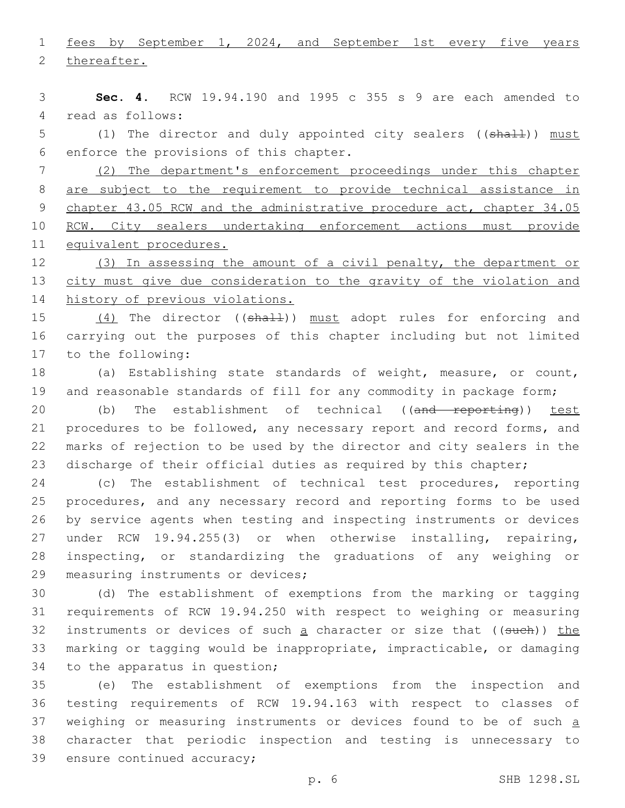1 fees by September 1, 2024, and September 1st every five years 2 thereafter.

3 **Sec. 4.** RCW 19.94.190 and 1995 c 355 s 9 are each amended to 4 read as follows:

5 (1) The director and duly appointed city sealers ((shall)) must 6 enforce the provisions of this chapter.

 (2) The department's enforcement proceedings under this chapter are subject to the requirement to provide technical assistance in 9 chapter 43.05 RCW and the administrative procedure act, chapter 34.05 RCW. City sealers undertaking enforcement actions must provide equivalent procedures.

12 (3) In assessing the amount of a civil penalty, the department or 13 city must give due consideration to the gravity of the violation and 14 history of previous violations.

15 (4) The director ((shall)) must adopt rules for enforcing and 16 carrying out the purposes of this chapter including but not limited 17 to the following:

- 18 (a) Establishing state standards of weight, measure, or count, 19 and reasonable standards of fill for any commodity in package form;
- 20 (b) The establishment of technical ((and reporting)) test 21 procedures to be followed, any necessary report and record forms, and 22 marks of rejection to be used by the director and city sealers in the 23 discharge of their official duties as required by this chapter;

 (c) The establishment of technical test procedures, reporting procedures, and any necessary record and reporting forms to be used by service agents when testing and inspecting instruments or devices under RCW 19.94.255(3) or when otherwise installing, repairing, inspecting, or standardizing the graduations of any weighing or 29 measuring instruments or devices;

30 (d) The establishment of exemptions from the marking or tagging 31 requirements of RCW 19.94.250 with respect to weighing or measuring 32 instruments or devices of such a character or size that ((such)) the 33 marking or tagging would be inappropriate, impracticable, or damaging 34 to the apparatus in question;

35 (e) The establishment of exemptions from the inspection and 36 testing requirements of RCW 19.94.163 with respect to classes of 37 weighing or measuring instruments or devices found to be of such a 38 character that periodic inspection and testing is unnecessary to 39 ensure continued accuracy;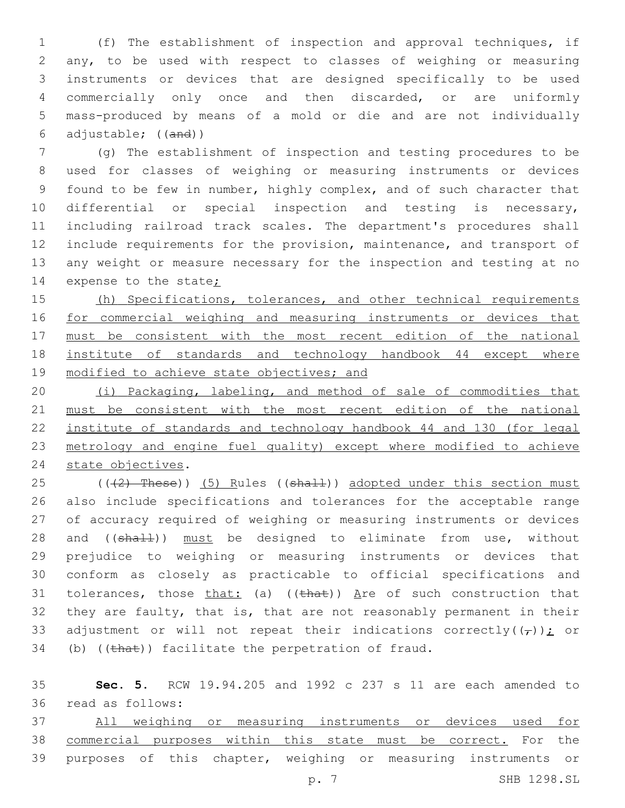(f) The establishment of inspection and approval techniques, if any, to be used with respect to classes of weighing or measuring instruments or devices that are designed specifically to be used commercially only once and then discarded, or are uniformly mass-produced by means of a mold or die and are not individually adjustable; ((and))

 (g) The establishment of inspection and testing procedures to be used for classes of weighing or measuring instruments or devices found to be few in number, highly complex, and of such character that 10 differential or special inspection and testing is necessary, including railroad track scales. The department's procedures shall include requirements for the provision, maintenance, and transport of any weight or measure necessary for the inspection and testing at no 14 expense to the state;

15 (h) Specifications, tolerances, and other technical requirements for commercial weighing and measuring instruments or devices that must be consistent with the most recent edition of the national institute of standards and technology handbook 44 except where 19 modified to achieve state objectives; and

 (i) Packaging, labeling, and method of sale of commodities that must be consistent with the most recent edition of the national institute of standards and technology handbook 44 and 130 (for legal metrology and engine fuel quality) except where modified to achieve 24 state objectives.

25 (((2) These)) (5) Rules ((shall)) adopted under this section must also include specifications and tolerances for the acceptable range of accuracy required of weighing or measuring instruments or devices 28 and ((shall)) must be designed to eliminate from use, without prejudice to weighing or measuring instruments or devices that conform as closely as practicable to official specifications and 31 tolerances, those that: (a)  $((that))$  Are of such construction that they are faulty, that is, that are not reasonably permanent in their 33 adjustment or will not repeat their indications correctly( $(\tau)$ ); or (b) (( $\theta$ )) facilitate the perpetration of fraud.

 **Sec. 5.** RCW 19.94.205 and 1992 c 237 s 11 are each amended to read as follows:36

 All weighing or measuring instruments or devices used for commercial purposes within this state must be correct. For the purposes of this chapter, weighing or measuring instruments or

p. 7 SHB 1298.SL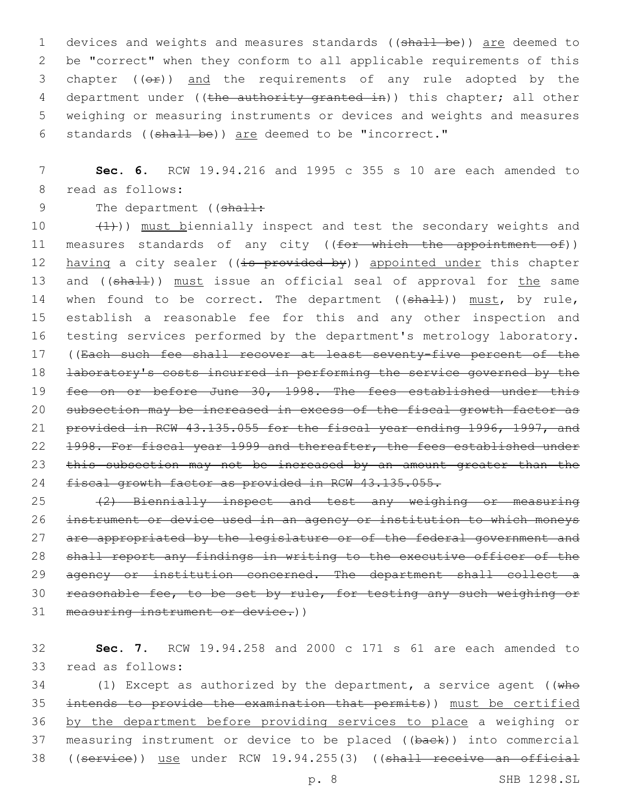1 devices and weights and measures standards ((shall be)) are deemed to 2 be "correct" when they conform to all applicable requirements of this 3 chapter  $((e f))$  and the requirements of any rule adopted by the 4 department under ((the authority granted in)) this chapter; all other 5 weighing or measuring instruments or devices and weights and measures 6 standards ((shall be)) are deemed to be "incorrect."

7 **Sec. 6.** RCW 19.94.216 and 1995 c 355 s 10 are each amended to 8 read as follows:

9 The department ((shall:

10  $(1)$ )) must biennially inspect and test the secondary weights and 11 measures standards of any city ((for which the appointment of)) 12 having a city sealer ((is provided by)) appointed under this chapter 13 and ((shall)) must issue an official seal of approval for the same 14 when found to be correct. The department ((shall)) must, by rule, 15 establish a reasonable fee for this and any other inspection and 16 testing services performed by the department's metrology laboratory. 17 ((Each such fee shall recover at least seventy-five percent of the 18 <del>laboratory's costs incurred in performing the service governed by the</del> 19 fee on or before June 30, 1998. The fees established under this 20 subsection may be increased in excess of the fiscal growth factor as 21 provided in RCW 43.135.055 for the fiscal year ending 1996, 1997, and 22 1998. For fiscal year 1999 and thereafter, the fees established under 23 this subsection may not be increased by an amount greater than the 24 fiscal growth factor as provided in RCW 43.135.055.

25 (2) Biennially inspect and test any weighing or measuring 26 instrument or device used in an agency or institution to which moneys 27 are appropriated by the legislature or of the federal government and 28 shall report any findings in writing to the executive officer of the 29 agency or institution concerned. The department shall collect a 30 reasonable fee, to be set by rule, for testing any such weighing or 31 measuring instrument or device.))

32 **Sec. 7.** RCW 19.94.258 and 2000 c 171 s 61 are each amended to 33 read as follows:

34 (1) Except as authorized by the department, a service agent (( $w$ he 35 intends to provide the examination that permits)) must be certified 36 by the department before providing services to place a weighing or 37 measuring instrument or device to be placed ((back)) into commercial 38 ((service)) use under RCW 19.94.255(3) ((shall receive an official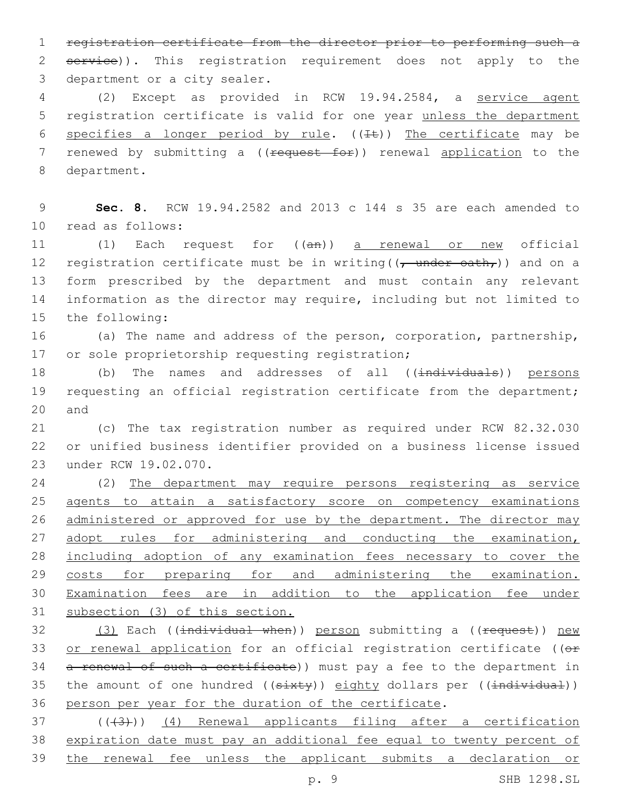1 registration certificate from the director prior to performing such a 2 service)). This registration requirement does not apply to the 3 department or a city sealer.

4 (2) Except as provided in RCW 19.94.2584, a service agent 5 registration certificate is valid for one year unless the department 6 specifies a longer period by rule.  $((\pm \epsilon))$  The certificate may be 7 renewed by submitting a ((request for)) renewal application to the 8 department.

9 **Sec. 8.** RCW 19.94.2582 and 2013 c 144 s 35 are each amended to read as follows:10

11 (1) Each request for ((an)) a renewal or new official 12 registration certificate must be in writing  $((\tau$  under oath,)) and on a 13 form prescribed by the department and must contain any relevant 14 information as the director may require, including but not limited to 15 the following:

16 (a) The name and address of the person, corporation, partnership, 17 or sole proprietorship requesting registration;

18 (b) The names and addresses of all ((individuals)) persons 19 requesting an official registration certificate from the department; 20 and

21 (c) The tax registration number as required under RCW 82.32.030 22 or unified business identifier provided on a business license issued 23 under RCW 19.02.070.

 (2) The department may require persons registering as service agents to attain a satisfactory score on competency examinations 26 administered or approved for use by the department. The director may 27 adopt rules for administering and conducting the examination, including adoption of any examination fees necessary to cover the 29 costs for preparing for and administering the examination. Examination fees are in addition to the application fee under subsection (3) of this section.

32 (3) Each ((individual when)) person submitting a ((request)) new 33 or renewal application for an official registration certificate ((or 34 a renewal of such a certificate)) must pay a fee to the department in 35 the amount of one hundred ((sixty)) eighty dollars per ((individual)) 36 person per year for the duration of the certificate.

37 (((43))) (4) Renewal applicants filing after a certification 38 expiration date must pay an additional fee equal to twenty percent of 39 the renewal fee unless the applicant submits a declaration or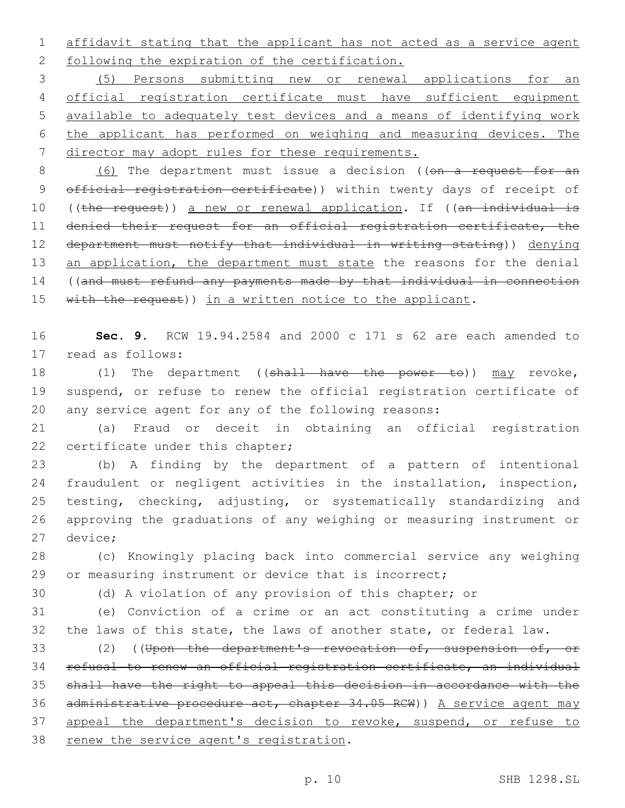1 affidavit stating that the applicant has not acted as a service agent 2 following the expiration of the certification.

 (5) Persons submitting new or renewal applications for an official registration certificate must have sufficient equipment available to adequately test devices and a means of identifying work the applicant has performed on weighing and measuring devices. The director may adopt rules for these requirements.

8 (6) The department must issue a decision ((on a request for an 9 official registration certificate)) within twenty days of receipt of 10 ((the request)) a new or renewal application. If ((an individual is 11 denied their request for an official registration certificate, the 12 department must notify that individual in writing stating)) denying 13 an application, the department must state the reasons for the denial 14 ((and must refund any payments made by that individual in connection 15 with the request)) in a written notice to the applicant.

16 **Sec. 9.** RCW 19.94.2584 and 2000 c 171 s 62 are each amended to 17 read as follows:

18 (1) The department ((shall have the power to)) may revoke, 19 suspend, or refuse to renew the official registration certificate of 20 any service agent for any of the following reasons:

21 (a) Fraud or deceit in obtaining an official registration 22 certificate under this chapter;

 (b) A finding by the department of a pattern of intentional fraudulent or negligent activities in the installation, inspection, testing, checking, adjusting, or systematically standardizing and approving the graduations of any weighing or measuring instrument or 27 device;

28 (c) Knowingly placing back into commercial service any weighing 29 or measuring instrument or device that is incorrect;

30 (d) A violation of any provision of this chapter; or

31 (e) Conviction of a crime or an act constituting a crime under 32 the laws of this state, the laws of another state, or federal law.

33 (2) ((Upon the department's revocation of, suspension of, or 34 refusal to renew an official registration certificate, an individual 35 shall have the right to appeal this decision in accordance with the 36 administrative procedure act, chapter 34.05 RCW)) A service agent may 37 appeal the department's decision to revoke, suspend, or refuse to 38 renew the service agent's registration.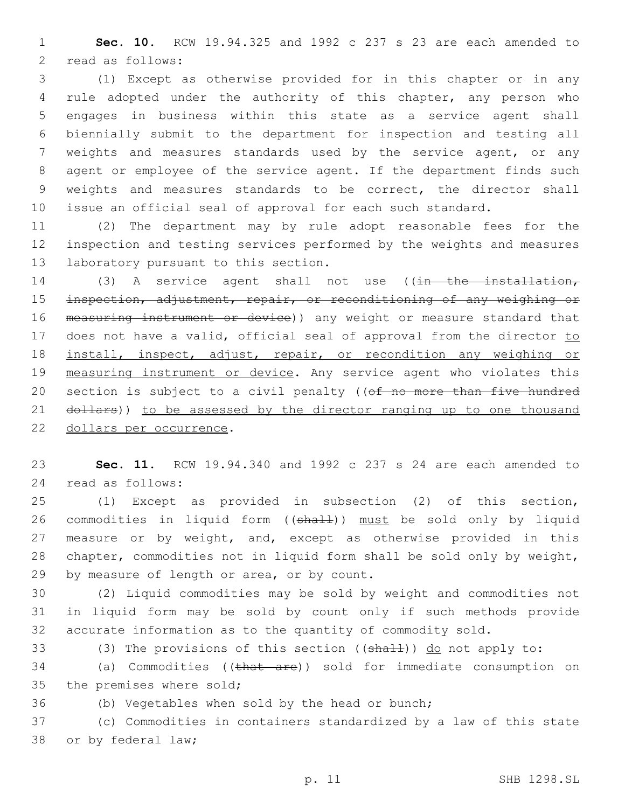1 **Sec. 10.** RCW 19.94.325 and 1992 c 237 s 23 are each amended to 2 read as follows:

 (1) Except as otherwise provided for in this chapter or in any rule adopted under the authority of this chapter, any person who engages in business within this state as a service agent shall biennially submit to the department for inspection and testing all weights and measures standards used by the service agent, or any agent or employee of the service agent. If the department finds such weights and measures standards to be correct, the director shall issue an official seal of approval for each such standard.

11 (2) The department may by rule adopt reasonable fees for the 12 inspection and testing services performed by the weights and measures 13 laboratory pursuant to this section.

14 (3) A service agent shall not use ( $(in$  the installation, 15 inspection, adjustment, repair, or reconditioning of any weighing or 16 measuring instrument or device)) any weight or measure standard that 17 does not have a valid, official seal of approval from the director to 18 install, inspect, adjust, repair, or recondition any weighing or 19 measuring instrument or device. Any service agent who violates this 20 section is subject to a civil penalty ((of no more than five hundred 21 dollars)) to be assessed by the director ranging up to one thousand 22 dollars per occurrence.

23 **Sec. 11.** RCW 19.94.340 and 1992 c 237 s 24 are each amended to 24 read as follows:

25 (1) Except as provided in subsection (2) of this section, 26 commodities in liquid form ((shall)) must be sold only by liquid 27 measure or by weight, and, except as otherwise provided in this 28 chapter, commodities not in liquid form shall be sold only by weight, 29 by measure of length or area, or by count.

30 (2) Liquid commodities may be sold by weight and commodities not 31 in liquid form may be sold by count only if such methods provide 32 accurate information as to the quantity of commodity sold.

33 (3) The provisions of this section ((shall)) do not apply to:

34 (a) Commodities ((that are)) sold for immediate consumption on 35 the premises where sold;

36 (b) Vegetables when sold by the head or bunch;

37 (c) Commodities in containers standardized by a law of this state 38 or by federal law;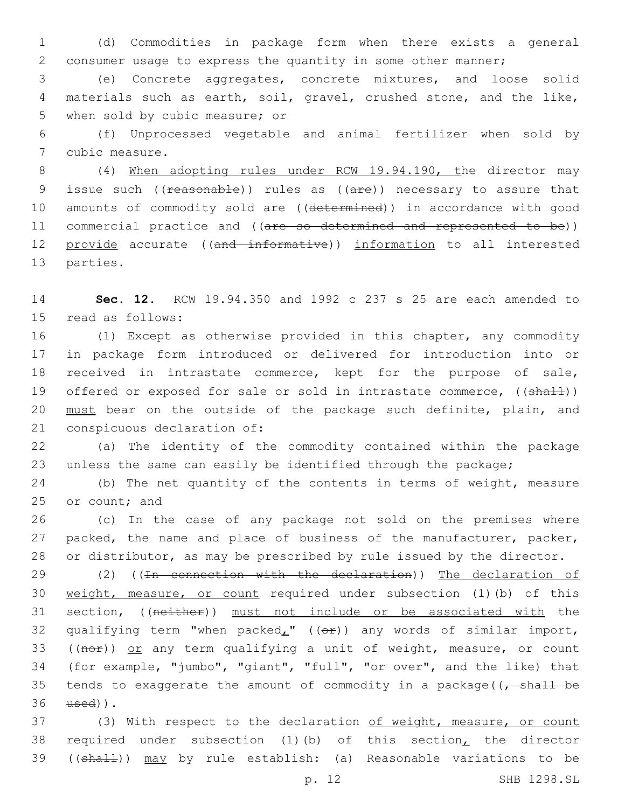1 (d) Commodities in package form when there exists a general 2 consumer usage to express the quantity in some other manner;

3 (e) Concrete aggregates, concrete mixtures, and loose solid 4 materials such as earth, soil, gravel, crushed stone, and the like, 5 when sold by cubic measure; or

6 (f) Unprocessed vegetable and animal fertilizer when sold by 7 cubic measure.

8 (4) When adopting rules under RCW 19.94.190, the director may 9 issue such ((reasonable)) rules as ((are)) necessary to assure that 10 amounts of commodity sold are ((determined)) in accordance with good 11 commercial practice and ((are so determined and represented to be)) 12 provide accurate ((and informative)) information to all interested 13 parties.

14 **Sec. 12.** RCW 19.94.350 and 1992 c 237 s 25 are each amended to 15 read as follows:

16 (1) Except as otherwise provided in this chapter, any commodity 17 in package form introduced or delivered for introduction into or 18 received in intrastate commerce, kept for the purpose of sale, 19 offered or exposed for sale or sold in intrastate commerce, ((shall)) 20 must bear on the outside of the package such definite, plain, and 21 conspicuous declaration of:

22 (a) The identity of the commodity contained within the package 23 unless the same can easily be identified through the package;

24 (b) The net quantity of the contents in terms of weight, measure 25 or count; and

26 (c) In the case of any package not sold on the premises where 27 packed, the name and place of business of the manufacturer, packer, 28 or distributor, as may be prescribed by rule issued by the director.

29 (2) ((In connection with the declaration)) The declaration of 30 weight, measure, or count required under subsection (1)(b) of this 31 section, ((neither)) must not include or be associated with the 32 qualifying term "when packed<sub>L</sub>"  $((eF))$  any words of similar import, 33 ( $(noF)$ ) or any term qualifying a unit of weight, measure, or count 34 (for example, "jumbo", "giant", "full", "or over", and the like) that 35 tends to exaggerate the amount of commodity in a package( $\sqrt{5}$  shall be  $36 \quad \text{used}$ ).

37 (3) With respect to the declaration of weight, measure, or count 38 required under subsection (1)(b) of this section, the director 39 ((shall)) may by rule establish: (a) Reasonable variations to be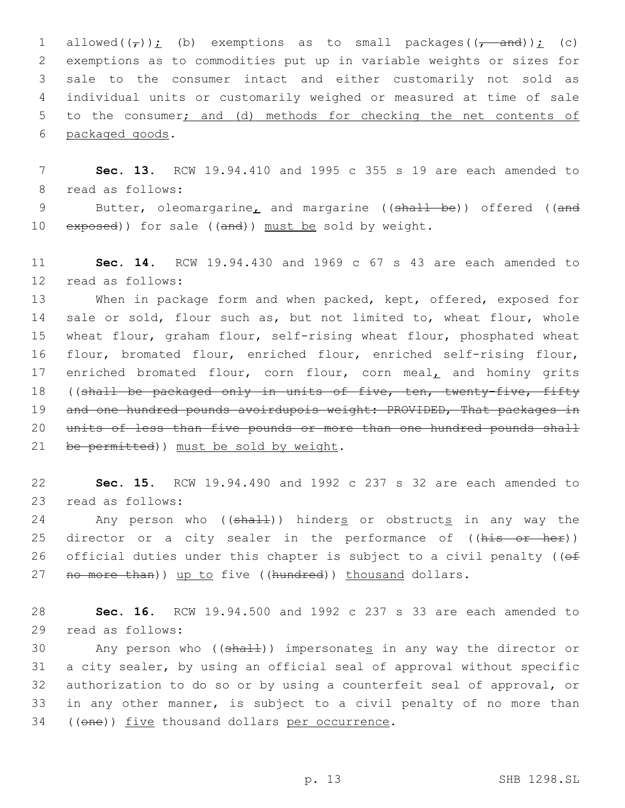1 allowed( $(\tau)$ ); (b) exemptions as to small packages( $(\tau$  and)); (c) exemptions as to commodities put up in variable weights or sizes for sale to the consumer intact and either customarily not sold as individual units or customarily weighed or measured at time of sale to the consumer; and (d) methods for checking the net contents of 6 packaged goods.

7 **Sec. 13.** RCW 19.94.410 and 1995 c 355 s 19 are each amended to 8 read as follows:

9 Butter, oleomargarine, and margarine ((shall be)) offered ((and 10 exposed)) for sale ((and)) must be sold by weight.

11 **Sec. 14.** RCW 19.94.430 and 1969 c 67 s 43 are each amended to 12 read as follows:

13 When in package form and when packed, kept, offered, exposed for 14 sale or sold, flour such as, but not limited to, wheat flour, whole 15 wheat flour, graham flour, self-rising wheat flour, phosphated wheat 16 flour, bromated flour, enriched flour, enriched self-rising flour, 17 enriched bromated flour, corn flour, corn meal, and hominy grits 18 ((shall be packaged only in units of five, ten, twenty-five, fifty 19 and one hundred pounds avoirdupois weight: PROVIDED, That packages in 20 units of less than five pounds or more than one hundred pounds shall 21 be permitted)) must be sold by weight.

22 **Sec. 15.** RCW 19.94.490 and 1992 c 237 s 32 are each amended to 23 read as follows:

24 Any person who ((shall)) hinders or obstructs in any way the 25 director or a city sealer in the performance of ((his or her)) 26 official duties under this chapter is subject to a civil penalty ( $(ef)$ 27 no more than)) up to five ((hundred)) thousand dollars.

28 **Sec. 16.** RCW 19.94.500 and 1992 c 237 s 33 are each amended to 29 read as follows:

30 Any person who ((shall)) impersonates in any way the director or 31 a city sealer, by using an official seal of approval without specific 32 authorization to do so or by using a counterfeit seal of approval, or 33 in any other manner, is subject to a civil penalty of no more than 34 ((one)) five thousand dollars per occurrence.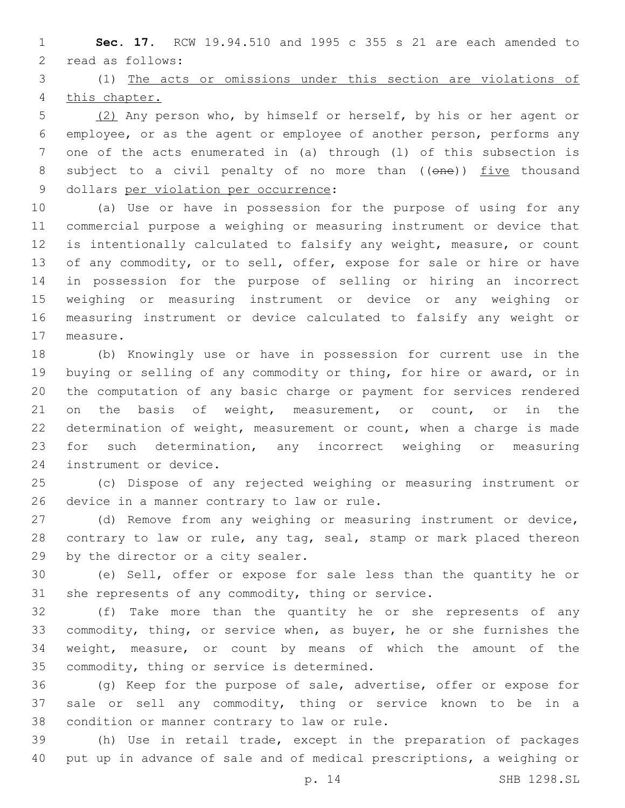**Sec. 17.** RCW 19.94.510 and 1995 c 355 s 21 are each amended to 2 read as follows:

 (1) The acts or omissions under this section are violations of this chapter.

 (2) Any person who, by himself or herself, by his or her agent or employee, or as the agent or employee of another person, performs any one of the acts enumerated in (a) through (l) of this subsection is 8 subject to a civil penalty of no more than ((one)) five thousand 9 dollars per violation per occurrence:

 (a) Use or have in possession for the purpose of using for any commercial purpose a weighing or measuring instrument or device that is intentionally calculated to falsify any weight, measure, or count of any commodity, or to sell, offer, expose for sale or hire or have in possession for the purpose of selling or hiring an incorrect weighing or measuring instrument or device or any weighing or measuring instrument or device calculated to falsify any weight or 17 measure.

 (b) Knowingly use or have in possession for current use in the buying or selling of any commodity or thing, for hire or award, or in the computation of any basic charge or payment for services rendered 21 on the basis of weight, measurement, or count, or in the determination of weight, measurement or count, when a charge is made for such determination, any incorrect weighing or measuring 24 instrument or device.

 (c) Dispose of any rejected weighing or measuring instrument or 26 device in a manner contrary to law or rule.

 (d) Remove from any weighing or measuring instrument or device, 28 contrary to law or rule, any tag, seal, stamp or mark placed thereon 29 by the director or a city sealer.

 (e) Sell, offer or expose for sale less than the quantity he or she represents of any commodity, thing or service.

 (f) Take more than the quantity he or she represents of any commodity, thing, or service when, as buyer, he or she furnishes the weight, measure, or count by means of which the amount of the 35 commodity, thing or service is determined.

 (g) Keep for the purpose of sale, advertise, offer or expose for sale or sell any commodity, thing or service known to be in a 38 condition or manner contrary to law or rule.

 (h) Use in retail trade, except in the preparation of packages put up in advance of sale and of medical prescriptions, a weighing or

p. 14 SHB 1298.SL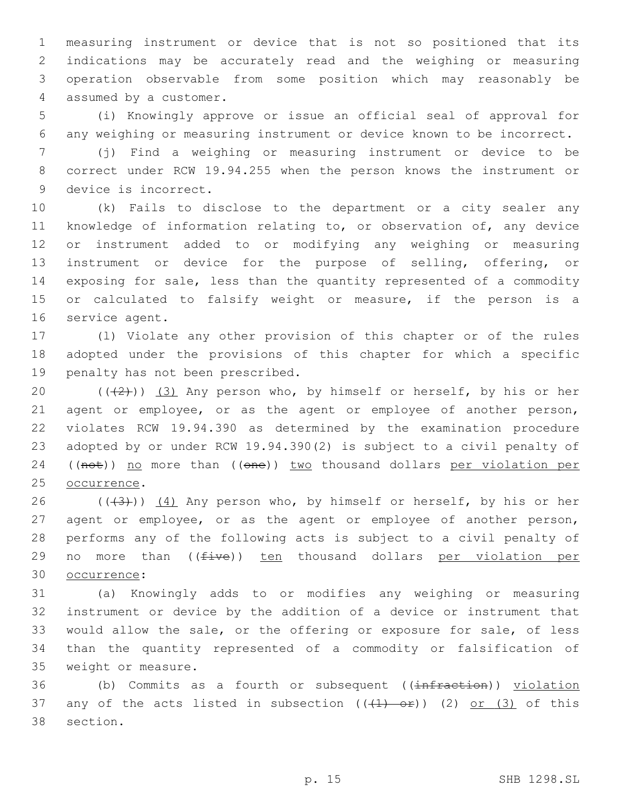measuring instrument or device that is not so positioned that its indications may be accurately read and the weighing or measuring operation observable from some position which may reasonably be 4 assumed by a customer.

5 (i) Knowingly approve or issue an official seal of approval for 6 any weighing or measuring instrument or device known to be incorrect.

7 (j) Find a weighing or measuring instrument or device to be 8 correct under RCW 19.94.255 when the person knows the instrument or 9 device is incorrect.

 (k) Fails to disclose to the department or a city sealer any knowledge of information relating to, or observation of, any device or instrument added to or modifying any weighing or measuring instrument or device for the purpose of selling, offering, or exposing for sale, less than the quantity represented of a commodity or calculated to falsify weight or measure, if the person is a 16 service agent.

17 (l) Violate any other provision of this chapter or of the rules 18 adopted under the provisions of this chapter for which a specific 19 penalty has not been prescribed.

20  $((+2+))$  (3) Any person who, by himself or herself, by his or her 21 agent or employee, or as the agent or employee of another person, 22 violates RCW 19.94.390 as determined by the examination procedure 23 adopted by or under RCW 19.94.390(2) is subject to a civil penalty of 24 ((not)) no more than ((one)) two thousand dollars per violation per 25 occurrence.

26  $((+3+))$   $(4)$  Any person who, by himself or herself, by his or her 27 agent or employee, or as the agent or employee of another person, 28 performs any of the following acts is subject to a civil penalty of 29 no more than  $(f$ ive)) ten thousand dollars per violation per occurrence:30

 (a) Knowingly adds to or modifies any weighing or measuring instrument or device by the addition of a device or instrument that would allow the sale, or the offering or exposure for sale, of less than the quantity represented of a commodity or falsification of 35 weight or measure.

36 (b) Commits as a fourth or subsequent ((infraction)) violation 37 any of the acts listed in subsection  $((+1)$  or)) (2) or (3) of this 38 section.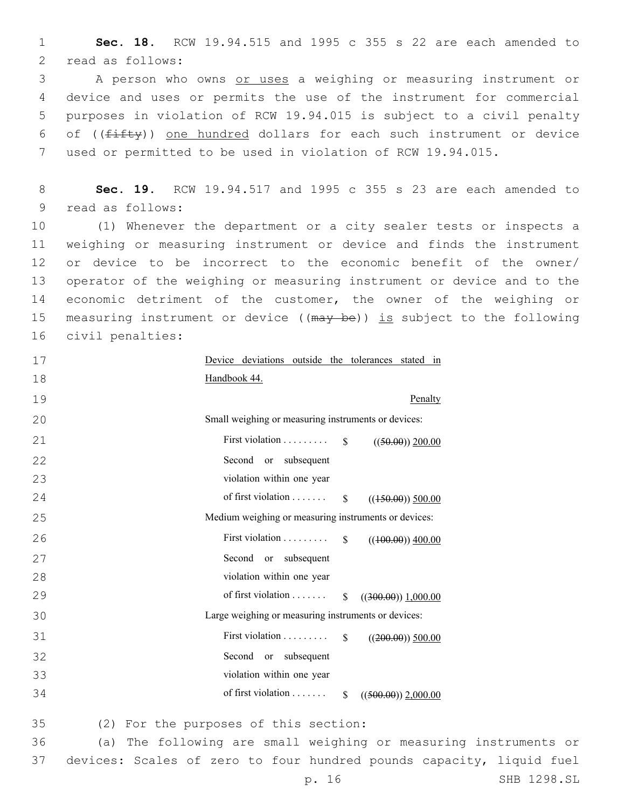**Sec. 18.** RCW 19.94.515 and 1995 c 355 s 22 are each amended to 2 read as follows:

 A person who owns or uses a weighing or measuring instrument or device and uses or permits the use of the instrument for commercial purposes in violation of RCW 19.94.015 is subject to a civil penalty 6 of  $((fiffy))$  one hundred dollars for each such instrument or device used or permitted to be used in violation of RCW 19.94.015.

 **Sec. 19.** RCW 19.94.517 and 1995 c 355 s 23 are each amended to 9 read as follows:

 (1) Whenever the department or a city sealer tests or inspects a weighing or measuring instrument or device and finds the instrument or device to be incorrect to the economic benefit of the owner/ operator of the weighing or measuring instrument or device and to the economic detriment of the customer, the owner of the weighing or 15 measuring instrument or device ((may be)) is subject to the following 16 civil penalties:

| 17        | Device deviations outside the tolerances stated in                   |
|-----------|----------------------------------------------------------------------|
| 18        | Handbook 44.                                                         |
| 19        | Penalty                                                              |
| 20        | Small weighing or measuring instruments or devices:                  |
| 21        | First violation $\S$<br>$((50.00))$ 200.00                           |
| 22        | Second or subsequent                                                 |
| 23        | violation within one year                                            |
| 24        | of first violation<br>$\mathbb{S}$<br>$((150.00))$ 500.00            |
| 25        | Medium weighing or measuring instruments or devices:                 |
| 26        | First violation<br>$\mathbb{S}$<br>$((100.00))$ 400.00               |
| 27        | Second or subsequent                                                 |
| 28        | violation within one year                                            |
| 29        | of first violation<br>$\mathbb{S}$<br>$((300.00))$ 1,000.00          |
| 30        | Large weighing or measuring instruments or devices:                  |
| 31        | First violation $\dots \dots$<br>$\mathbb{S}$<br>$((200.00))$ 500.00 |
| 32        | Second or subsequent                                                 |
| 33        | violation within one year                                            |
| 34        | of first violation<br>$\mathbb{S}$<br>$((500.00))$ 2,000.00          |
| 35        | (2) For the purposes of this section:                                |
| 36<br>(a) | The following are small weighing or measuring i                      |

nstruments or devices: Scales of zero to four hundred pounds capacity, liquid fuel p. 16 SHB 1298.SL